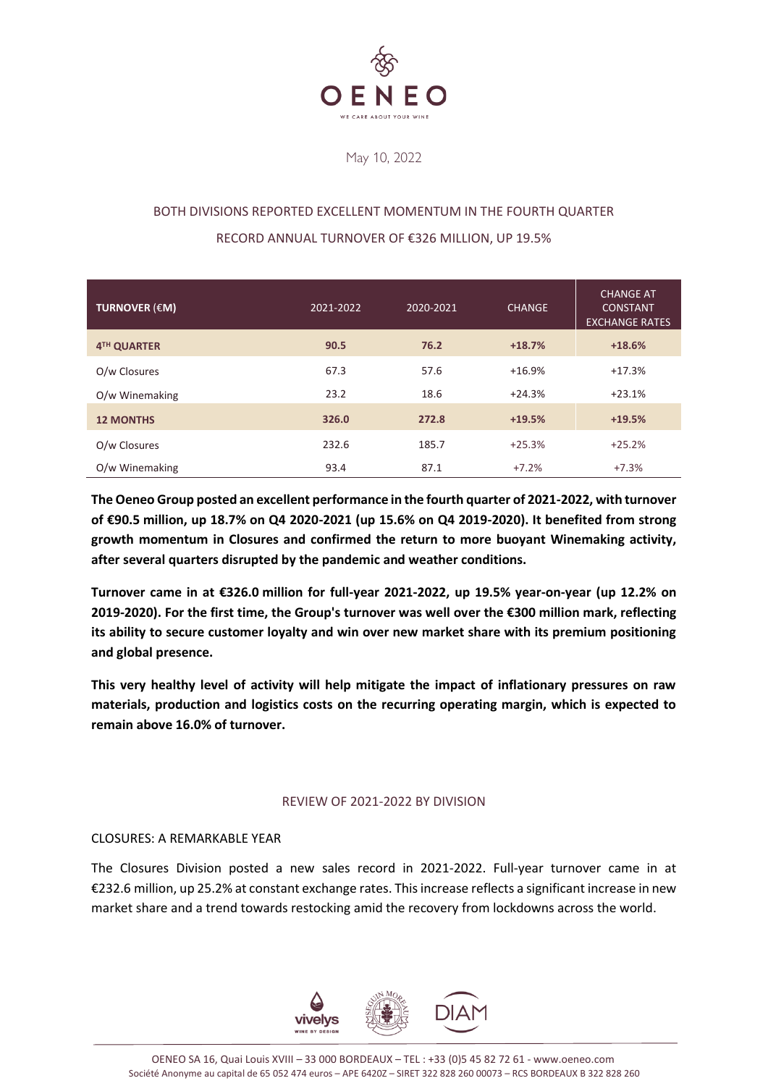

May 10, 2022

# BOTH DIVISIONS REPORTED EXCELLENT MOMENTUM IN THE FOURTH QUARTER RECORD ANNUAL TURNOVER OF €326 MILLION, UP 19.5%

| TURNOVER $(\epsilon M)$ | 2021-2022 | 2020-2021 | <b>CHANGE</b> | <b>CHANGE AT</b><br><b>CONSTANT</b><br><b>EXCHANGE RATES</b> |
|-------------------------|-----------|-----------|---------------|--------------------------------------------------------------|
| 4TH QUARTER             | 90.5      | 76.2      | $+18.7%$      | $+18.6%$                                                     |
| O/w Closures            | 67.3      | 57.6      | $+16.9%$      | $+17.3%$                                                     |
| O/w Winemaking          | 23.2      | 18.6      | $+24.3%$      | $+23.1%$                                                     |
| <b>12 MONTHS</b>        | 326.0     | 272.8     | $+19.5%$      | $+19.5%$                                                     |
| O/w Closures            | 232.6     | 185.7     | $+25.3%$      | $+25.2%$                                                     |
| O/w Winemaking          | 93.4      | 87.1      | $+7.2%$       | $+7.3%$                                                      |

**The Oeneo Group posted an excellent performance in the fourth quarter of 2021-2022, with turnover of €90.5 million, up 18.7% on Q4 2020-2021 (up 15.6% on Q4 2019-2020). It benefited from strong growth momentum in Closures and confirmed the return to more buoyant Winemaking activity, after several quarters disrupted by the pandemic and weather conditions.**

**Turnover came in at €326.0 million for full-year 2021-2022, up 19.5% year-on-year (up 12.2% on 2019-2020). For the first time, the Group's turnover was well over the €300 million mark, reflecting its ability to secure customer loyalty and win over new market share with its premium positioning and global presence.** 

**This very healthy level of activity will help mitigate the impact of inflationary pressures on raw materials, production and logistics costs on the recurring operating margin, which is expected to remain above 16.0% of turnover.**

# REVIEW OF 2021-2022 BY DIVISION

# CLOSURES: A REMARKABLE YEAR

The Closures Division posted a new sales record in 2021-2022. Full-year turnover came in at €232.6 million, up 25.2% at constant exchange rates. This increase reflects a significant increase in new market share and a trend towards restocking amid the recovery from lockdowns across the world.

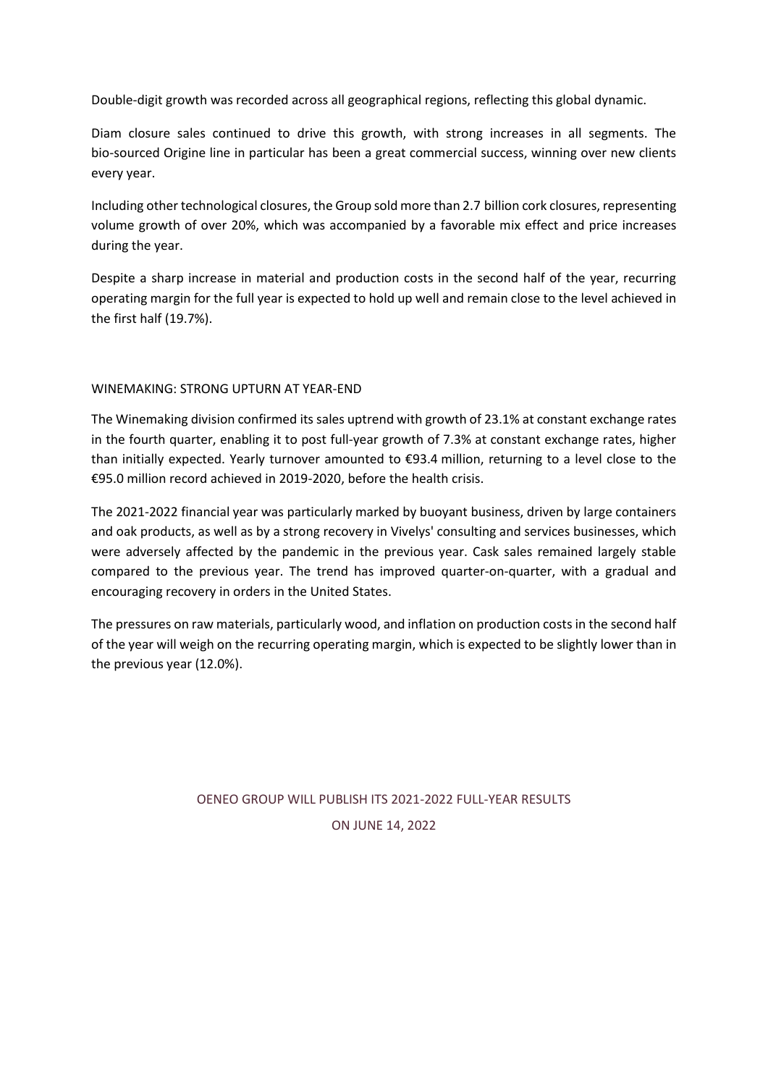Double-digit growth was recorded across all geographical regions, reflecting this global dynamic.

Diam closure sales continued to drive this growth, with strong increases in all segments. The bio-sourced Origine line in particular has been a great commercial success, winning over new clients every year.

Including other technological closures, the Group sold more than 2.7 billion cork closures, representing volume growth of over 20%, which was accompanied by a favorable mix effect and price increases during the year.

Despite a sharp increase in material and production costs in the second half of the year, recurring operating margin for the full year is expected to hold up well and remain close to the level achieved in the first half (19.7%).

## WINEMAKING: STRONG UPTURN AT YEAR-END

The Winemaking division confirmed its sales uptrend with growth of 23.1% at constant exchange rates in the fourth quarter, enabling it to post full-year growth of 7.3% at constant exchange rates, higher than initially expected. Yearly turnover amounted to €93.4 million, returning to a level close to the €95.0 million record achieved in 2019-2020, before the health crisis.

The 2021-2022 financial year was particularly marked by buoyant business, driven by large containers and oak products, as well as by a strong recovery in Vivelys' consulting and services businesses, which were adversely affected by the pandemic in the previous year. Cask sales remained largely stable compared to the previous year. The trend has improved quarter-on-quarter, with a gradual and encouraging recovery in orders in the United States.

The pressures on raw materials, particularly wood, and inflation on production costs in the second half of the year will weigh on the recurring operating margin, which is expected to be slightly lower than in the previous year (12.0%).

# OENEO GROUP WILL PUBLISH ITS 2021-2022 FULL-YEAR RESULTS ON JUNE 14, 2022